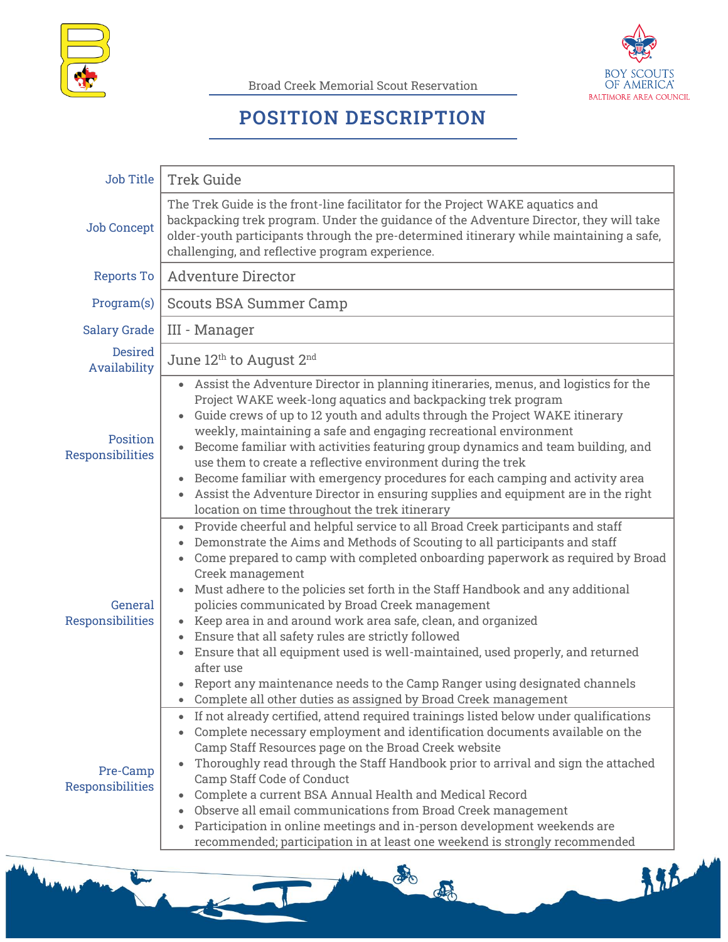

Broad Creek Memorial Scout Reservation



## **POSITION DESCRIPTION**

| Job Title                      | <b>Trek Guide</b>                                                                                                                                                                                                                                                                                                                                                                                                                                                                                                                                                                                                                                                                                                                   |
|--------------------------------|-------------------------------------------------------------------------------------------------------------------------------------------------------------------------------------------------------------------------------------------------------------------------------------------------------------------------------------------------------------------------------------------------------------------------------------------------------------------------------------------------------------------------------------------------------------------------------------------------------------------------------------------------------------------------------------------------------------------------------------|
| <b>Job Concept</b>             | The Trek Guide is the front-line facilitator for the Project WAKE aquatics and<br>backpacking trek program. Under the guidance of the Adventure Director, they will take<br>older-youth participants through the pre-determined itinerary while maintaining a safe,<br>challenging, and reflective program experience.                                                                                                                                                                                                                                                                                                                                                                                                              |
| Reports To                     | <b>Adventure Director</b>                                                                                                                                                                                                                                                                                                                                                                                                                                                                                                                                                                                                                                                                                                           |
| Program(s)                     | <b>Scouts BSA Summer Camp</b>                                                                                                                                                                                                                                                                                                                                                                                                                                                                                                                                                                                                                                                                                                       |
| <b>Salary Grade</b>            | III - Manager                                                                                                                                                                                                                                                                                                                                                                                                                                                                                                                                                                                                                                                                                                                       |
| <b>Desired</b><br>Availability | June 12th to August 2nd                                                                                                                                                                                                                                                                                                                                                                                                                                                                                                                                                                                                                                                                                                             |
| Position<br>Responsibilities   | Assist the Adventure Director in planning itineraries, menus, and logistics for the<br>Project WAKE week-long aquatics and backpacking trek program<br>Guide crews of up to 12 youth and adults through the Project WAKE itinerary<br>$\bullet$<br>weekly, maintaining a safe and engaging recreational environment<br>Become familiar with activities featuring group dynamics and team building, and<br>use them to create a reflective environment during the trek<br>Become familiar with emergency procedures for each camping and activity area<br>Assist the Adventure Director in ensuring supplies and equipment are in the right<br>location on time throughout the trek itinerary                                        |
| General<br>Responsibilities    | Provide cheerful and helpful service to all Broad Creek participants and staff<br>$\bullet$<br>Demonstrate the Aims and Methods of Scouting to all participants and staff<br>Come prepared to camp with completed onboarding paperwork as required by Broad<br>$\bullet$<br>Creek management<br>Must adhere to the policies set forth in the Staff Handbook and any additional<br>policies communicated by Broad Creek management<br>Keep area in and around work area safe, clean, and organized<br>Ensure that all safety rules are strictly followed<br>Ensure that all equipment used is well-maintained, used properly, and returned<br>after use<br>Report any maintenance needs to the Camp Ranger using designated channels |
| Pre-Camp<br>Responsibilities   | Complete all other duties as assigned by Broad Creek management<br>If not already certified, attend required trainings listed below under qualifications<br>Complete necessary employment and identification documents available on the<br>Camp Staff Resources page on the Broad Creek website<br>Thoroughly read through the Staff Handbook prior to arrival and sign the attached<br>$\bullet$<br>Camp Staff Code of Conduct<br>Complete a current BSA Annual Health and Medical Record<br>Observe all email communications from Broad Creek management<br>Participation in online meetings and in-person development weekends are<br>recommended; participation in at least one weekend is strongly recommended                 |